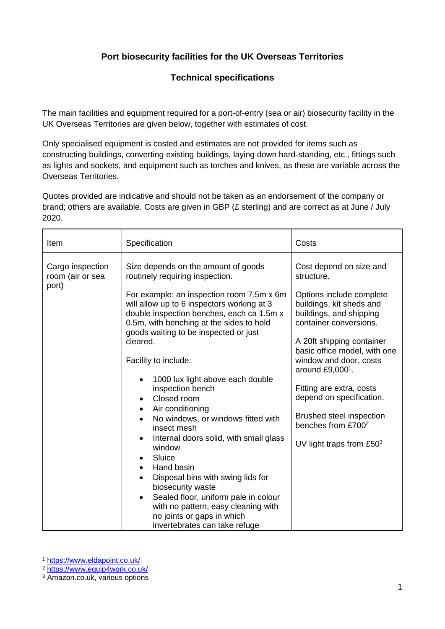## **Port biosecurity facilities for the UK Overseas Territories**

## **Technical specifications**

The main facilities and equipment required for a port-of-entry (sea or air) biosecurity facility in the UK Overseas Territories are given below, together with estimates of cost.

Only specialised equipment is costed and estimates are not provided for items such as constructing buildings, converting existing buildings, laying down hard-standing, etc., fittings such as lights and sockets, and equipment such as torches and knives, as these are variable across the Overseas Territories.

Quotes provided are indicative and should not be taken as an endorsement of the company or brand; others are available. Costs are given in GBP (£ sterling) and are correct as at June / July 2020.

| Item                                          | Specification                                                                                                                                                                                                                                                                                                                                                                                                                                                                                                                                                                                              | Costs                                                                                                                                                                                                                                                                                                                                                                                                                         |
|-----------------------------------------------|------------------------------------------------------------------------------------------------------------------------------------------------------------------------------------------------------------------------------------------------------------------------------------------------------------------------------------------------------------------------------------------------------------------------------------------------------------------------------------------------------------------------------------------------------------------------------------------------------------|-------------------------------------------------------------------------------------------------------------------------------------------------------------------------------------------------------------------------------------------------------------------------------------------------------------------------------------------------------------------------------------------------------------------------------|
| Cargo inspection<br>room (air or sea<br>port) | Size depends on the amount of goods<br>routinely requiring inspection.<br>For example: an inspection room 7.5m x 6m<br>will allow up to 6 inspectors working at 3<br>double inspection benches, each ca 1.5m x<br>0.5m, with benching at the sides to hold<br>goods waiting to be inspected or just<br>cleared.<br>Facility to include:<br>1000 lux light above each double<br>inspection bench<br>Closed room<br>Air conditioning<br>$\bullet$<br>No windows, or windows fitted with<br>$\bullet$<br>insect mesh<br>Internal doors solid, with small glass<br>$\bullet$<br>window<br>Sluice<br>Hand basin | Cost depend on size and<br>structure.<br>Options include complete<br>buildings, kit sheds and<br>buildings, and shipping<br>container conversions.<br>A 20ft shipping container<br>basic office model, with one<br>window and door, costs<br>around £9,000 <sup>1</sup> .<br>Fitting are extra, costs<br>depend on specification.<br>Brushed steel inspection<br>benches from £700 <sup>2</sup><br>UV light traps from $£503$ |
|                                               | Disposal bins with swing lids for<br>biosecurity waste<br>Sealed floor, uniform pale in colour<br>$\bullet$<br>with no pattern, easy cleaning with<br>no joints or gaps in which<br>invertebrates can take refuge                                                                                                                                                                                                                                                                                                                                                                                          |                                                                                                                                                                                                                                                                                                                                                                                                                               |

<sup>1</sup> <https://www.eldapoint.co.uk/>

<sup>2</sup> <https://www.equip4work.co.uk/>

<sup>3</sup> Amazon.co.uk, various options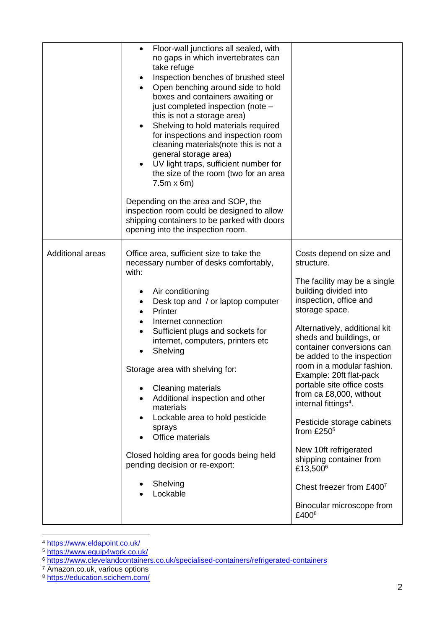| Floor-wall junctions all sealed, with<br>$\bullet$                                                                                                                                                                                                                                                                                                                                                                                                                                                                                                                                                                                                                                                               |                                                                                                                                                                                                                                                                                                                                                                                                                                                                                                                                                                                                                      |
|------------------------------------------------------------------------------------------------------------------------------------------------------------------------------------------------------------------------------------------------------------------------------------------------------------------------------------------------------------------------------------------------------------------------------------------------------------------------------------------------------------------------------------------------------------------------------------------------------------------------------------------------------------------------------------------------------------------|----------------------------------------------------------------------------------------------------------------------------------------------------------------------------------------------------------------------------------------------------------------------------------------------------------------------------------------------------------------------------------------------------------------------------------------------------------------------------------------------------------------------------------------------------------------------------------------------------------------------|
| no gaps in which invertebrates can<br>take refuge<br>Inspection benches of brushed steel<br>٠<br>Open benching around side to hold<br>$\bullet$<br>boxes and containers awaiting or<br>just completed inspection (note -<br>this is not a storage area)<br>Shelving to hold materials required<br>$\bullet$<br>for inspections and inspection room<br>cleaning materials (note this is not a<br>general storage area)<br>UV light traps, sufficient number for<br>$\bullet$<br>the size of the room (two for an area<br>$7.5m \times 6m$<br>Depending on the area and SOP, the<br>inspection room could be designed to allow<br>shipping containers to be parked with doors<br>opening into the inspection room. |                                                                                                                                                                                                                                                                                                                                                                                                                                                                                                                                                                                                                      |
| Office area, sufficient size to take the<br>necessary number of desks comfortably,<br>with:<br>Air conditioning<br>Desk top and / or laptop computer<br>Printer<br>Internet connection<br>Sufficient plugs and sockets for<br>internet, computers, printers etc<br>Shelving<br>Storage area with shelving for:<br>Cleaning materials<br>Additional inspection and other<br>materials<br>Lockable area to hold pesticide<br>$\bullet$<br>sprays<br>Office materials<br>Closed holding area for goods being held<br>pending decision or re-export:<br>Shelving<br>Lockable                                                                                                                                         | Costs depend on size and<br>structure.<br>The facility may be a single<br>building divided into<br>inspection, office and<br>storage space.<br>Alternatively, additional kit<br>sheds and buildings, or<br>container conversions can<br>be added to the inspection<br>room in a modular fashion.<br>Example: 20ft flat-pack<br>portable site office costs<br>from ca £8,000, without<br>internal fittings <sup>4</sup> .<br>Pesticide storage cabinets<br>from $£2505$<br>New 10ft refrigerated<br>shipping container from<br>£13,500 <sup>6</sup><br>Chest freezer from £4007<br>Binocular microscope from<br>£4008 |
|                                                                                                                                                                                                                                                                                                                                                                                                                                                                                                                                                                                                                                                                                                                  |                                                                                                                                                                                                                                                                                                                                                                                                                                                                                                                                                                                                                      |

<sup>4</sup> <https://www.eldapoint.co.uk/>

<sup>5</sup> <https://www.equip4work.co.uk/>

<sup>6</sup> <https://www.clevelandcontainers.co.uk/specialised-containers/refrigerated-containers>

<sup>7</sup> Amazon.co.uk, various options

<sup>8</sup> <https://education.scichem.com/>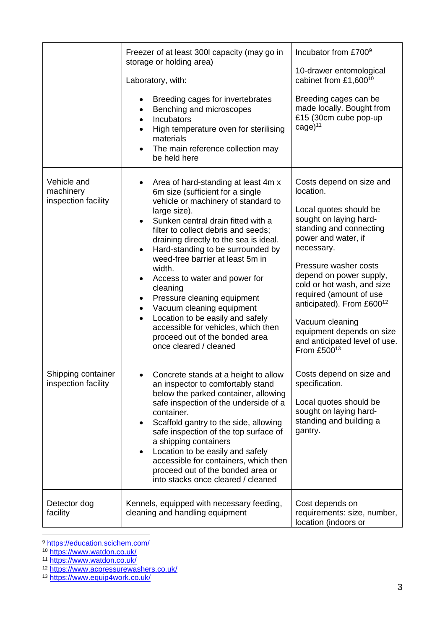|                                                 | Freezer of at least 300l capacity (may go in<br>storage or holding area)<br>Laboratory, with:<br>Breeding cages for invertebrates<br>Benching and microscopes<br>$\bullet$<br>Incubators<br>$\bullet$<br>High temperature oven for sterilising<br>materials<br>The main reference collection may<br>$\bullet$<br>be held here                                                                                                                                                                                                                                                                                                                                          | Incubator from £7009<br>10-drawer entomological<br>cabinet from £1,600 <sup>10</sup><br>Breeding cages can be<br>made locally. Bought from<br>£15 (30cm cube pop-up<br>$cage)$ <sup>11</sup>                                                                                                                                                                                                                    |
|-------------------------------------------------|------------------------------------------------------------------------------------------------------------------------------------------------------------------------------------------------------------------------------------------------------------------------------------------------------------------------------------------------------------------------------------------------------------------------------------------------------------------------------------------------------------------------------------------------------------------------------------------------------------------------------------------------------------------------|-----------------------------------------------------------------------------------------------------------------------------------------------------------------------------------------------------------------------------------------------------------------------------------------------------------------------------------------------------------------------------------------------------------------|
| Vehicle and<br>machinery<br>inspection facility | Area of hard-standing at least 4m x<br>$\bullet$<br>6m size (sufficient for a single<br>vehicle or machinery of standard to<br>large size).<br>Sunken central drain fitted with a<br>$\bullet$<br>filter to collect debris and seeds;<br>draining directly to the sea is ideal.<br>Hard-standing to be surrounded by<br>$\bullet$<br>weed-free barrier at least 5m in<br>width.<br>Access to water and power for<br>cleaning<br>Pressure cleaning equipment<br>$\bullet$<br>Vacuum cleaning equipment<br>$\bullet$<br>Location to be easily and safely<br>$\bullet$<br>accessible for vehicles, which then<br>proceed out of the bonded area<br>once cleared / cleaned | Costs depend on size and<br>location.<br>Local quotes should be<br>sought on laying hard-<br>standing and connecting<br>power and water, if<br>necessary.<br>Pressure washer costs<br>depend on power supply,<br>cold or hot wash, and size<br>required (amount of use<br>anticipated). From £600 <sup>12</sup><br>Vacuum cleaning<br>equipment depends on size<br>and anticipated level of use.<br>From £50013 |
| Shipping container<br>inspection facility       | Concrete stands at a height to allow<br>an inspector to comfortably stand<br>below the parked container, allowing<br>safe inspection of the underside of a<br>container.<br>Scaffold gantry to the side, allowing<br>٠<br>safe inspection of the top surface of<br>a shipping containers<br>Location to be easily and safely<br>$\bullet$<br>accessible for containers, which then<br>proceed out of the bonded area or<br>into stacks once cleared / cleaned                                                                                                                                                                                                          | Costs depend on size and<br>specification.<br>Local quotes should be<br>sought on laying hard-<br>standing and building a<br>gantry.                                                                                                                                                                                                                                                                            |
| Detector dog<br>facility                        | Kennels, equipped with necessary feeding,<br>cleaning and handling equipment                                                                                                                                                                                                                                                                                                                                                                                                                                                                                                                                                                                           | Cost depends on<br>requirements: size, number,<br>location (indoors or                                                                                                                                                                                                                                                                                                                                          |

<sup>9</sup> <https://education.scichem.com/>

<sup>10</sup> <https://www.watdon.co.uk/>

<sup>11</sup> <https://www.watdon.co.uk/>

<sup>12</sup> <https://www.acpressurewashers.co.uk/>

<sup>13</sup> <https://www.equip4work.co.uk/>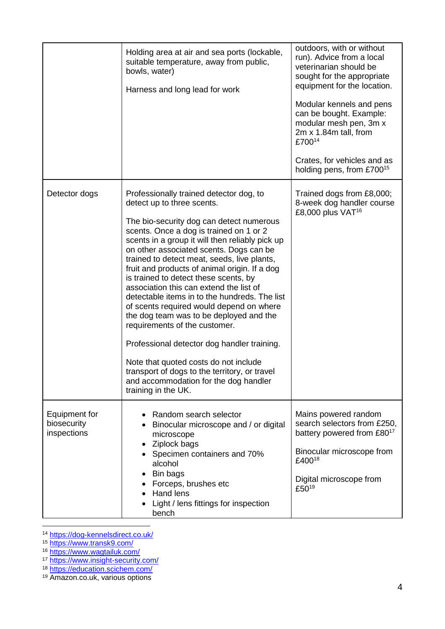|                                             | Holding area at air and sea ports (lockable,<br>suitable temperature, away from public,<br>bowls, water)<br>Harness and long lead for work                                                                                                                                                                                                                                                                                                                                                                                                                                                                                                                                                                                                                                                                                       | outdoors, with or without<br>run). Advice from a local<br>veterinarian should be<br>sought for the appropriate<br>equipment for the location.<br>Modular kennels and pens<br>can be bought. Example:<br>modular mesh pen, 3m x<br>2m x 1.84m tall, from<br>£70014<br>Crates, for vehicles and as<br>holding pens, from £700 <sup>15</sup> |
|---------------------------------------------|----------------------------------------------------------------------------------------------------------------------------------------------------------------------------------------------------------------------------------------------------------------------------------------------------------------------------------------------------------------------------------------------------------------------------------------------------------------------------------------------------------------------------------------------------------------------------------------------------------------------------------------------------------------------------------------------------------------------------------------------------------------------------------------------------------------------------------|-------------------------------------------------------------------------------------------------------------------------------------------------------------------------------------------------------------------------------------------------------------------------------------------------------------------------------------------|
| Detector dogs                               | Professionally trained detector dog, to<br>detect up to three scents.<br>The bio-security dog can detect numerous<br>scents. Once a dog is trained on 1 or 2<br>scents in a group it will then reliably pick up<br>on other associated scents. Dogs can be<br>trained to detect meat, seeds, live plants,<br>fruit and products of animal origin. If a dog<br>is trained to detect these scents, by<br>association this can extend the list of<br>detectable items in to the hundreds. The list<br>of scents required would depend on where<br>the dog team was to be deployed and the<br>requirements of the customer.<br>Professional detector dog handler training.<br>Note that quoted costs do not include<br>transport of dogs to the territory, or travel<br>and accommodation for the dog handler<br>training in the UK. | Trained dogs from £8,000;<br>8-week dog handler course<br>£8,000 plus VAT <sup>16</sup>                                                                                                                                                                                                                                                   |
| Equipment for<br>biosecurity<br>inspections | Random search selector<br>Binocular microscope and / or digital<br>microscope<br>Ziplock bags<br>Specimen containers and 70%<br>alcohol<br>Bin bags<br>Forceps, brushes etc<br>Hand lens<br>Light / lens fittings for inspection<br>bench                                                                                                                                                                                                                                                                                                                                                                                                                                                                                                                                                                                        | Mains powered random<br>search selectors from £250,<br>battery powered from £8017<br>Binocular microscope from<br>£40018<br>Digital microscope from<br>£5019                                                                                                                                                                              |

14 <https://dog-kennelsdirect.co.uk/>

15 <https://www.transk9.com/>

1

16 <https://www.wagtailuk.com/>

<sup>17</sup> [https://www.insight-security.com/](https://www.insight-security.com/random-search-selector-mains-powered-unit) 

18 <https://education.scichem.com/>

<sup>19</sup> Amazon.co.uk, various options